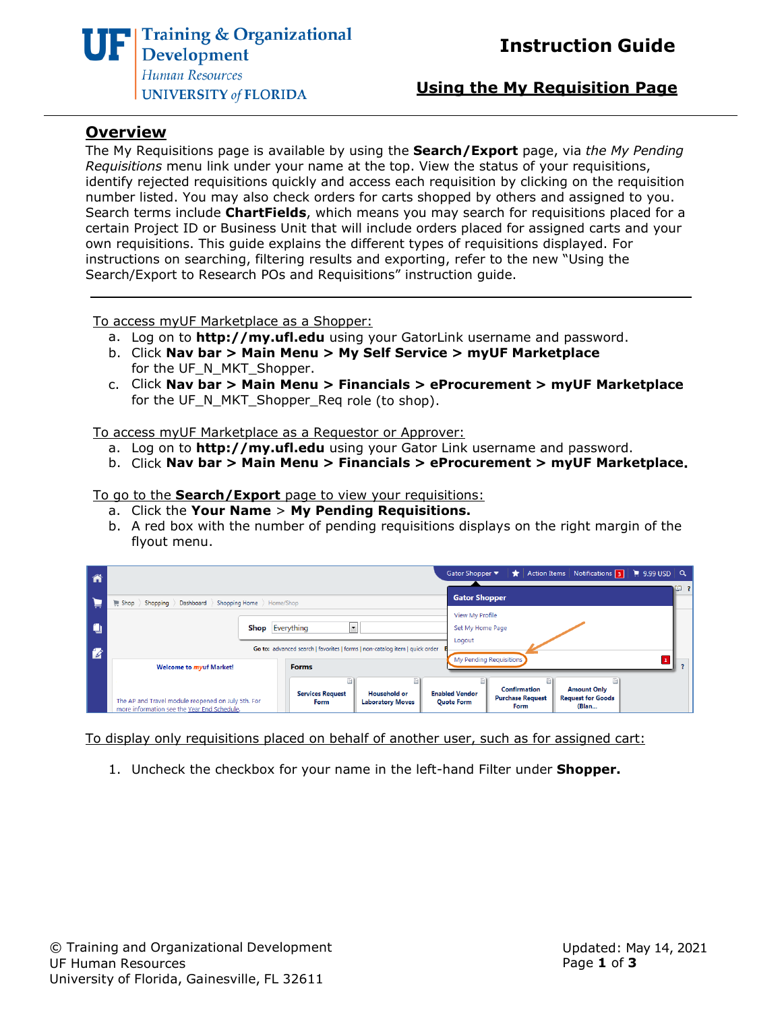

#### **Using the My Requisition Page**

#### **Overview**

The My Requisitions page is available by using the **Search/Export** page, via *the My Pending Requisitions* menu link under your name at the top. View the status of your requisitions, identify rejected requisitions quickly and access each requisition by clicking on the requisition number listed. You may also check orders for carts shopped by others and assigned to you. Search terms include **ChartFields**, which means you may search for requisitions placed for a certain Project ID or Business Unit that will include orders placed for assigned carts and your own requisitions. This guide explains the different types of requisitions displayed. For instructions on searching, filtering results and exporting, refer to the new "Using the Search/Export to Research POs and Requisitions" instruction guide.

To access myUF Marketplace as a Shopper:

- a. Log on to **[http://my.ufl.edu](http://my.ufl.edu/)** using your GatorLink username and password.
- b. Click **Nav bar > Main Menu > My Self Service > myUF Marketplace** for the UF\_N\_MKT\_Shopper.
- c. Click **Nav bar > Main Menu > Financials > eProcurement > myUF Marketplace** for the UF\_N\_MKT\_Shopper\_Req role (to shop).

To access myUF Marketplace as a Requestor or Approver:

- a. Log on to **[http://my.ufl.edu](http://my.ufl.edu/)** using your Gator Link username and password.
- b. Click **Nav bar > Main Menu > Financials > eProcurement > myUF Marketplace.**

#### To go to the **Search/Export** page to view your requisitions:

- a. Click the **Your Name** > **My Pending Requisitions.**
- b. A red box with the number of pending requisitions displays on the right margin of the flyout menu.

|               |                                                                                                   | Action Items   Notifications   3     19.99 USD   Q<br>Gator Shopper<br>★!                                                                                                                               |  |
|---------------|---------------------------------------------------------------------------------------------------|---------------------------------------------------------------------------------------------------------------------------------------------------------------------------------------------------------|--|
|               | Shopping Bashboard Shopping Home Home/Shop<br>$\equiv$ Shop $\parallel$                           | <b>Gator Shopper</b>                                                                                                                                                                                    |  |
| H             |                                                                                                   | View My Profile                                                                                                                                                                                         |  |
|               | <b>Shop</b> Everything                                                                            | Set My Home Page                                                                                                                                                                                        |  |
| $\mathscr{L}$ |                                                                                                   | Logout<br>Go to: advanced search   favorites   forms   non-catalog item   quick order                                                                                                                   |  |
|               | <b>Welcome to myuf Market!</b>                                                                    | My Pending Requisitions<br><b>Forms</b>                                                                                                                                                                 |  |
|               |                                                                                                   | <b>Confirmation</b><br><b>Amount Only</b>                                                                                                                                                               |  |
|               | The AP and Travel module reopened on July 5th. For<br>more information see the Year End Schedule. | <b>Enabled Vendor</b><br><b>Services Request</b><br><b>Household or</b><br><b>Request for Goods</b><br><b>Purchase Request</b><br><b>Laboratory Moves</b><br><b>Quote Form</b><br>Form<br>(Blan<br>Form |  |

To display only requisitions placed on behalf of another user, such as for assigned cart:

1. Uncheck the checkbox for your name in the left-hand Filter under **Shopper.**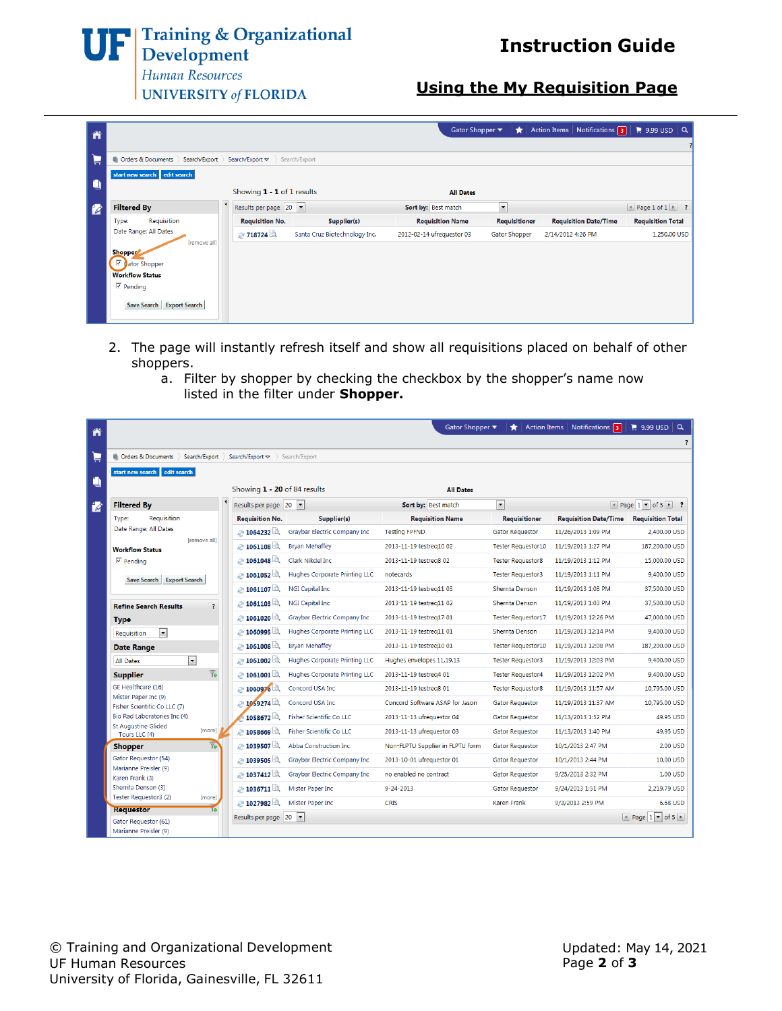**UF** Training & Organizational

## **Instruction Guide**

Human Resources **UNIVERSITY of FLORIDA** 

## **Using the My Requisition Page**

| ñ                        |                                       |                            |                               | Gator Shopper ▼           | $\star$              | Action Items Notifications 3 | $\approx$ 9.99 USD $\alpha$                |
|--------------------------|---------------------------------------|----------------------------|-------------------------------|---------------------------|----------------------|------------------------------|--------------------------------------------|
| $\blacksquare$           | Orders & Documents Search/Export<br>曲 | Search/Export $\sim$       | Search/Export                 |                           |                      |                              |                                            |
| ۹                        | start new search edit search          | Showing 1 - 1 of 1 results |                               | <b>All Dates</b>          |                      |                              |                                            |
| $\overline{\mathscr{L}}$ | <b>Filtered By</b>                    | Results per page 20  v     |                               | Sort by: Best match       | $\vert \cdot \vert$  |                              | $\triangle$ Page 1 of 1 $\triangleright$ ? |
|                          | Requisition<br>Type:                  | <b>Requisition No.</b>     | Supplier(s)                   | <b>Requisition Name</b>   | <b>Requisitioner</b> | <b>Requisition Date/Time</b> | <b>Requisition Total</b>                   |
|                          | Date Range: All Dates<br>[remove all] | ⊘ 718724                   | Santa Cruz Biotechnology Inc. | 2012-02-14 ufrequestor 03 | Gator Shopper        | 2/14/2012 4:26 PM            | 1,250.00 USD                               |
|                          | <b>Shopper</b><br>☑ dator Shopper     |                            |                               |                           |                      |                              |                                            |
|                          | <b>Workflow Status</b>                |                            |                               |                           |                      |                              |                                            |
|                          | $\overline{\mathbf{v}}$ Pending       |                            |                               |                           |                      |                              |                                            |
|                          | Save Search Export Search             |                            |                               |                           |                      |                              |                                            |

- 2. The page will instantly refresh itself and show all requisitions placed on behalf of other shoppers.
	- a. Filter by shopper by checking the checkbox by the shopper's name now listed in the filter under **Shopper.**

| Ã  |                                                       |                                                   | Gator Shopper                    |                           | Action Items   Notifications 3 | $\approx$ 9.99 USD $\sim$               |
|----|-------------------------------------------------------|---------------------------------------------------|----------------------------------|---------------------------|--------------------------------|-----------------------------------------|
|    |                                                       |                                                   |                                  |                           |                                | 2                                       |
| L  | Search/Export<br><b>I</b> Orders & Documents          | Search/Export $\triangledown$<br>Search/Export    |                                  |                           |                                |                                         |
|    | start new search edit search                          |                                                   |                                  |                           |                                |                                         |
| ÿ  |                                                       | Showing 1 - 20 of 84 results                      | <b>All Dates</b>                 |                           |                                |                                         |
| 14 | <b>Filtered By</b>                                    | Results per page 20                               | Sort by: Best match              | $\overline{\phantom{a}}$  |                                | Page $1 -$ of 5 $\blacktriangleright$ ? |
|    | Requisition<br>Type:                                  | <b>Requisition No.</b><br>Supplier(s)             | <b>Requisition Name</b>          | <b>Requisitioner</b>      | <b>Requisition Date/Time</b>   | <b>Requisition Total</b>                |
|    | Date Range: All Dates                                 | ● 1064232<br>Graybar Electric Company Inc         | <b>Testing FPFND</b>             | <b>Gator Requestor</b>    | 11/26/2013 1:09 PM             | 2.400.00 USD                            |
|    | fremove all1<br><b>Workflow Status</b>                | 2 1061108<br><b>Brvan Mehaffev</b>                | 2013-11-19 testreg10 02          | <b>Tester Requestor10</b> | 11/19/2013 1:27 PM             | 187.200.00 USD                          |
|    | $\overline{\mathsf{v}}$ Pending                       | 2 1061048<br>Clark Nikdel Inc.                    | 2013-11-19 testreg8 02           | <b>Tester Requestor8</b>  | 11/19/2013 1:12 PM             | 15,000.00 USD                           |
|    | <b>Export Search</b><br>Save Search                   | 2 1061052<br>Hughes Corporate Printing LLC        | notecards                        | <b>Tester Requestor3</b>  | 11/19/2013 1:11 PM             | 9.400.00 USD                            |
|    |                                                       | 2 1061107<br>NGI Capital Inc                      | 2013-11-19 testreg11 03          | Sherrita Denson           | 11/19/2013 1:08 PM             | 37,500.00 USD                           |
|    | <b>Refine Search Results</b><br>Ÿ.                    | 2 1061103<br>NGI Capital Inc                      | 2013-11-19 testreg11 02          | Sherrita Denson           | 11/19/2013 1:03 PM             | 37.500.00 USD                           |
|    | <b>Type</b>                                           | ● 1061020<br>Graybar Electric Company Inc         | 2013-11-19 testreg17 01          | <b>Tester Requestor17</b> | 11/19/2013 12:26 PM            | 47.000.00 USD                           |
|    | $\overline{\phantom{a}}$<br><b>Requisition</b>        | 2 1060995<br><b>Hughes Corporate Printing LLC</b> | 2013-11-19 testreg11 01          | Sherrita Denson           | 11/19/2013 12:14 PM            | 9,400.00 USD                            |
|    | <b>Date Range</b>                                     | 2 1061008<br><b>Brvan Mehaffev</b>                | 2013-11-19 testrea10 01          | <b>Tester Requestor10</b> | 11/19/2013 12:08 PM            | 187.200.00 USD                          |
|    | $\overline{\phantom{a}}$<br><b>All Dates</b>          | 2 1061002<br><b>Hughes Corporate Printing LLC</b> | Hughes envelopes 11.19.13        | <b>Tester Requestor3</b>  | 11/19/2013 12:03 PM            | 9.400.00 USD                            |
|    | $\overline{\mathbb{Y}}$<br><b>Supplier</b>            | 2 1061001<br><b>Hughes Corporate Printing LLC</b> | 2013-11-19 testreg4 01           | <b>Tester Requestor4</b>  | 11/19/2013 12:02 PM            | 9,400.00 USD                            |
|    | GE Healthcare (16)                                    | 2:1060976<br>Concord USA Inc                      | 2013-11-19 testreg8 01           | <b>Tester Requestor8</b>  | 11/19/2013 11:57 AM            | 10.795.00 USD                           |
|    | Mister Paper Inc (9)<br>Fisher Scientific Co LLC (7)  | 2 1059274<br>Concord USA Inc.                     | Concord Software ASAP for Jason  | <b>Gator Requestor</b>    | 11/19/2013 11:37 AM            | 10,795.00 USD                           |
|    | Bio Rad Laboratories Inc (4)                          | 1058672<br>Fisher Scientific Co LLC               | 2013-11-13 ufrequestor 04        | <b>Gator Requestor</b>    | 11/13/2013 1:52 PM             | 49.95 USD                               |
|    | <b>St Augustine Glided</b><br>[more]<br>Tours LLC (4) | 2 1058669<br><b>Fisher Scientific Co LLC</b>      | 2013-11-13 ufrequestor 03        | <b>Gator Requestor</b>    | 11/13/2013 1:40 PM             | 49.95 USD                               |
|    | Y6<br><b>Shopper</b>                                  | 2 1039507<br>Abba Construction Inc.               | Non-FLPTU Supplier in FLPTU form | <b>Gator Requestor</b>    | 10/1/2013 2:47 PM              | 2.00 USD                                |
|    | Gator Requestor (54)                                  | 2 1039505<br>Graybar Electric Company Inc         | 2013-10-01 ufrequestor 01        | <b>Gator Requestor</b>    | 10/1/2013 2:44 PM              | 10.00 USD                               |
|    | Marianne Preisler (9)<br>Karen Frank (3)              | ● 1037412<br>Graybar Electric Company Inc         | no enabled no contract           | <b>Gator Requestor</b>    | 9/25/2013 2:32 PM              | 1.00 USD                                |
|    | Sherrita Denson (3)                                   | 2 1036711<br>Mister Paper Inc                     | $9 - 24 - 2013$                  | <b>Gator Requestor</b>    | 9/24/2013 1:51 PM              | 2.219.79 USD                            |
|    | Tester Requestor3 (2)<br>[more]<br><b>Requestor</b>   | 2 1027982<br>Mister Paper Inc                     | <b>CRIS</b>                      | <b>Karen Frank</b>        | 9/3/2013 2:59 PM               | 6.68 USD                                |
|    | Gator Requestor (61)                                  | Results per page 20                               |                                  |                           |                                | Page $1 -$ of 5 $\triangleright$        |
|    | Marianne Preisler (9)                                 |                                                   |                                  |                           |                                |                                         |